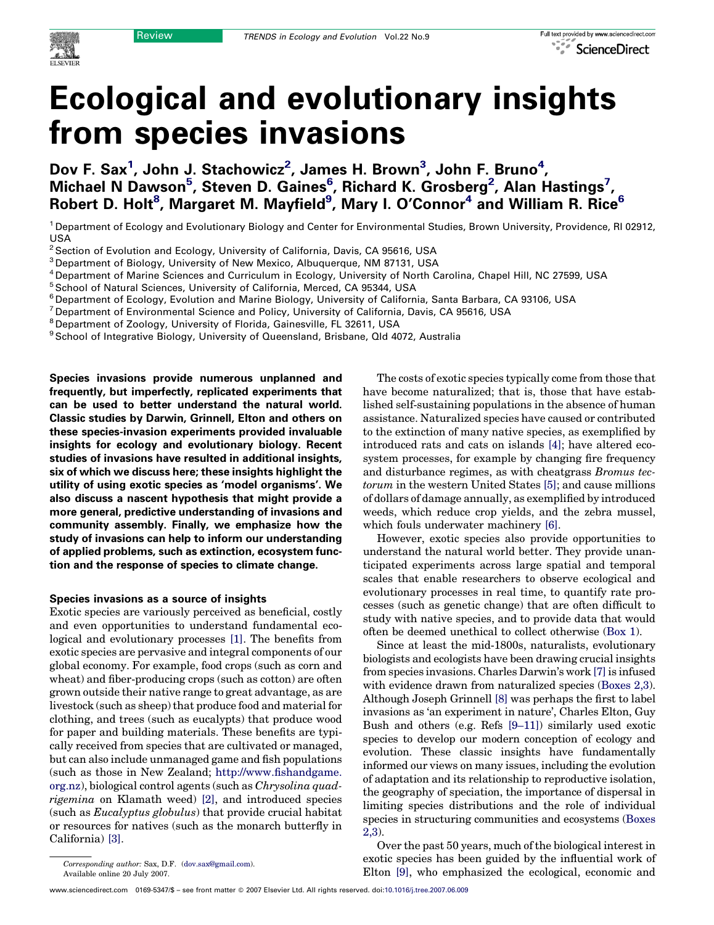

Dov F. Sax<sup>1</sup>, John J. Stachowicz<sup>2</sup>, James H. Brown<sup>3</sup>, John F. Bruno<sup>4</sup>, Michael N Dawson $^5$ , Steven D. Gaines $^6$ , Richard K. Grosberg $^2$ , Alan Hastings $^7$ , Robert D. Holt<sup>8</sup>, Margaret M. Mayfield<sup>9</sup>, Mary I. O'Connor<sup>4</sup> and William R. Rice<sup>6</sup>

<sup>1</sup> Department of Ecology and Evolutionary Biology and Center for Environmental Studies, Brown University, Providence, RI 02912, USA

 $2$  Section of Evolution and Ecology, University of California, Davis, CA 95616, USA

<sup>3</sup> Department of Biology, University of New Mexico, Albuquerque, NM 87131, USA

<sup>4</sup> Department of Marine Sciences and Curriculum in Ecology, University of North Carolina, Chapel Hill, NC 27599, USA

<sup>5</sup> School of Natural Sciences, University of California, Merced, CA 95344, USA

<sup>6</sup> Department of Ecology, Evolution and Marine Biology, University of California, Santa Barbara, CA 93106, USA

<sup>7</sup> Department of Environmental Science and Policy, University of California, Davis, CA 95616, USA

<sup>8</sup> Department of Zoology, University of Florida, Gainesville, FL 32611, USA

<sup>9</sup> School of Integrative Biology, University of Queensland, Brisbane, Qld 4072, Australia

Species invasions provide numerous unplanned and frequently, but imperfectly, replicated experiments that can be used to better understand the natural world. Classic studies by Darwin, Grinnell, Elton and others on these species-invasion experiments provided invaluable insights for ecology and evolutionary biology. Recent studies of invasions have resulted in additional insights, six of which we discuss here; these insights highlight the utility of using exotic species as 'model organisms'. We also discuss a nascent hypothesis that might provide a more general, predictive understanding of invasions and community assembly. Finally, we emphasize how the study of invasions can help to inform our understanding of applied problems, such as extinction, ecosystem function and the response of species to climate change.

### Species invasions as a source of insights

Exotic species are variously perceived as beneficial, costly and even opportunities to understand fundamental ecological and evolutionary processes [\[1\].](#page-5-0) The benefits from exotic species are pervasive and integral components of our global economy. For example, food crops (such as corn and wheat) and fiber-producing crops (such as cotton) are often grown outside their native range to great advantage, as are livestock (such as sheep) that produce food and material for clothing, and trees (such as eucalypts) that produce wood for paper and building materials. These benefits are typically received from species that are cultivated or managed, but can also include unmanaged game and fish populations (such as those in New Zealand; [http://www.fishandgame.](http://www.fishandgame.org.nz/) [org.nz](http://www.fishandgame.org.nz/)), biological control agents (such as Chrysolina quadrigemina on Klamath weed) [\[2\]](#page-5-0), and introduced species (such as Eucalyptus globulus) that provide crucial habitat or resources for natives (such as the monarch butterfly in California) [\[3\].](#page-5-0)

The costs of exotic species typically come from those that have become naturalized; that is, those that have established self-sustaining populations in the absence of human assistance. Naturalized species have caused or contributed to the extinction of many native species, as exemplified by introduced rats and cats on islands [\[4\];](#page-5-0) have altered ecosystem processes, for example by changing fire frequency and disturbance regimes, as with cheatgrass Bromus tectorum in the western United States [\[5\];](#page-5-0) and cause millions of dollars of damage annually, as exemplified by introduced weeds, which reduce crop yields, and the zebra mussel, which fouls underwater machinery [\[6\].](#page-5-0)

However, exotic species also provide opportunities to understand the natural world better. They provide unanticipated experiments across large spatial and temporal scales that enable researchers to observe ecological and evolutionary processes in real time, to quantify rate processes (such as genetic change) that are often difficult to study with native species, and to provide data that would often be deemed unethical to collect otherwise ([Box 1\)](#page-1-0).

Since at least the mid-1800s, naturalists, evolutionary biologists and ecologists have been drawing crucial insights from species invasions. Charles Darwin's work [\[7\]](#page-5-0) is infused with evidence drawn from naturalized species ([Boxes 2,3](#page-1-0)). Although Joseph Grinnell [\[8\]](#page-5-0) was perhaps the first to label invasions as 'an experiment in nature', Charles Elton, Guy Bush and others (e.g. Refs [\[9–11\]\)](#page-5-0) similarly used exotic species to develop our modern conception of ecology and evolution. These classic insights have fundamentally informed our views on many issues, including the evolution of adaptation and its relationship to reproductive isolation, the geography of speciation, the importance of dispersal in limiting species distributions and the role of individual species in structuring communities and ecosystems [\(Boxes](#page-1-0) [2,3](#page-1-0)).

Over the past 50 years, much of the biological interest in exotic species has been guided by the influential work of Elton [\[9\],](#page-5-0) who emphasized the ecological, economic and

Corresponding author: Sax, D.F. ([dov.sax@gmail.com\)](mailto:dov.sax@gmail.com). Available online 20 July 2007.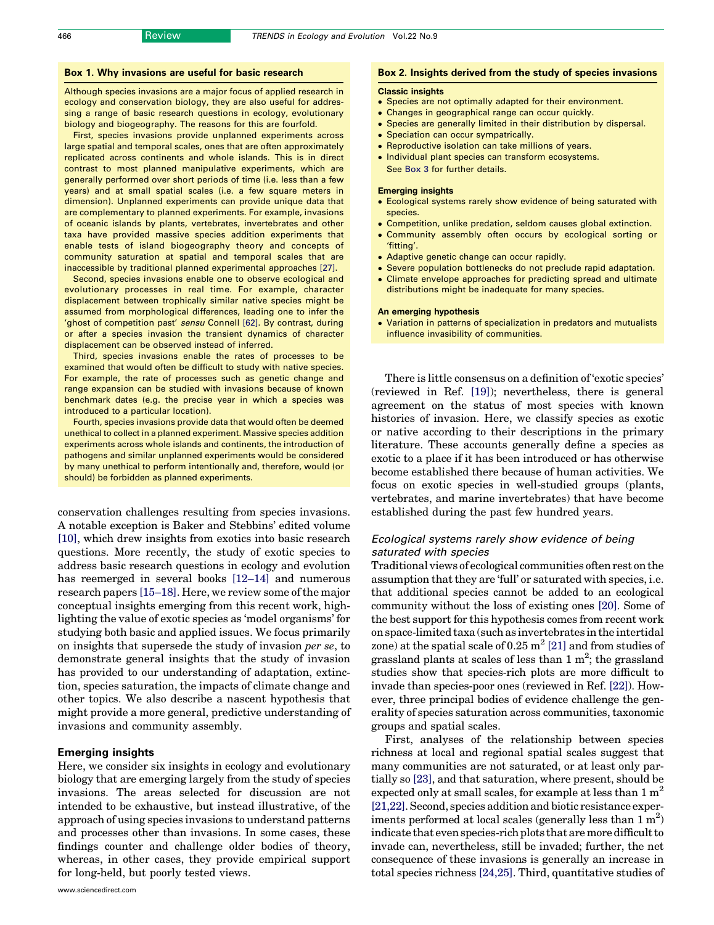### <span id="page-1-0"></span>Box 1. Why invasions are useful for basic research

Although species invasions are a major focus of applied research in ecology and conservation biology, they are also useful for addressing a range of basic research questions in ecology, evolutionary biology and biogeography. The reasons for this are fourfold.

First, species invasions provide unplanned experiments across large spatial and temporal scales, ones that are often approximately replicated across continents and whole islands. This is in direct contrast to most planned manipulative experiments, which are generally performed over short periods of time (i.e. less than a few years) and at small spatial scales (i.e. a few square meters in dimension). Unplanned experiments can provide unique data that are complementary to planned experiments. For example, invasions of oceanic islands by plants, vertebrates, invertebrates and other taxa have provided massive species addition experiments that enable tests of island biogeography theory and concepts of community saturation at spatial and temporal scales that are inaccessible by traditional planned experimental approaches [\[27\].](#page-6-0)

Second, species invasions enable one to observe ecological and evolutionary processes in real time. For example, character displacement between trophically similar native species might be assumed from morphological differences, leading one to infer the 'ghost of competition past' sensu Connell [\[62\]](#page-6-0). By contrast, during or after a species invasion the transient dynamics of character displacement can be observed instead of inferred.

Third, species invasions enable the rates of processes to be examined that would often be difficult to study with native species. For example, the rate of processes such as genetic change and range expansion can be studied with invasions because of known benchmark dates (e.g. the precise year in which a species was introduced to a particular location).

Fourth, species invasions provide data that would often be deemed unethical to collect in a planned experiment. Massive species addition experiments across whole islands and continents, the introduction of pathogens and similar unplanned experiments would be considered by many unethical to perform intentionally and, therefore, would (or should) be forbidden as planned experiments.

conservation challenges resulting from species invasions. A notable exception is Baker and Stebbins' edited volume [\[10\]](#page-5-0), which drew insights from exotics into basic research questions. More recently, the study of exotic species to address basic research questions in ecology and evolution has reemerged in several books [\[12–14\]](#page-5-0) and numerous research papers [\[15–18\].](#page-5-0) Here, we review some of the major conceptual insights emerging from this recent work, highlighting the value of exotic species as 'model organisms' for studying both basic and applied issues. We focus primarily on insights that supersede the study of invasion per se, to demonstrate general insights that the study of invasion has provided to our understanding of adaptation, extinction, species saturation, the impacts of climate change and other topics. We also describe a nascent hypothesis that might provide a more general, predictive understanding of invasions and community assembly.

## Emerging insights

Here, we consider six insights in ecology and evolutionary biology that are emerging largely from the study of species invasions. The areas selected for discussion are not intended to be exhaustive, but instead illustrative, of the approach of using species invasions to understand patterns and processes other than invasions. In some cases, these findings counter and challenge older bodies of theory, whereas, in other cases, they provide empirical support for long-held, but poorly tested views.

## Box 2. Insights derived from the study of species invasions

### Classic insights

- Species are not optimally adapted for their environment.
- Changes in geographical range can occur quickly.
- Species are generally limited in their distribution by dispersal.
- Speciation can occur sympatrically.
- Reproductive isolation can take millions of years.
- Individual plant species can transform ecosystems. See [Box 3](#page-2-0) for further details.

#### Emerging insights

- Ecological systems rarely show evidence of being saturated with species.
- Competition, unlike predation, seldom causes global extinction.
- Community assembly often occurs by ecological sorting or 'fitting'.
- Adaptive genetic change can occur rapidly.
- Severe population bottlenecks do not preclude rapid adaptation.
- Climate envelope approaches for predicting spread and ultimate distributions might be inadequate for many species.

#### An emerging hypothesis

- Variation in patterns of specialization in predators and mutualists influence invasibility of communities.

There is little consensus on a definition of 'exotic species' (reviewed in Ref. [\[19\]\)](#page-6-0); nevertheless, there is general agreement on the status of most species with known histories of invasion. Here, we classify species as exotic or native according to their descriptions in the primary literature. These accounts generally define a species as exotic to a place if it has been introduced or has otherwise become established there because of human activities. We focus on exotic species in well-studied groups (plants, vertebrates, and marine invertebrates) that have become established during the past few hundred years.

# Ecological systems rarely show evidence of being saturated with species

Traditional views of ecological communities often rest on the assumption that they are 'full' or saturated with species, i.e. that additional species cannot be added to an ecological community without the loss of existing ones [\[20\].](#page-6-0) Some of the best support for this hypothesis comes from recent work on space-limited taxa (such as invertebrates in the intertidal zone) at the spatial scale of  $0.25 \text{ m}^2$  [\[21\]](#page-6-0) and from studies of grassland plants at scales of less than  $1 \text{ m}^2$ ; the grassland studies show that species-rich plots are more difficult to invade than species-poor ones (reviewed in Ref. [\[22\]](#page-6-0)). However, three principal bodies of evidence challenge the generality of species saturation across communities, taxonomic groups and spatial scales.

First, analyses of the relationship between species richness at local and regional spatial scales suggest that many communities are not saturated, or at least only partially so [\[23\],](#page-6-0) and that saturation, where present, should be expected only at small scales, for example at less than  $1 \text{ m}^2$ [\[21,22\].](#page-6-0) Second, species addition and biotic resistance experiments performed at local scales (generally less than  $1 \text{ m}^2$ ) indicate that even species-rich plots that aremore difficult to invade can, nevertheless, still be invaded; further, the net consequence of these invasions is generally an increase in total species richness [\[24,25\]](#page-6-0). Third, quantitative studies of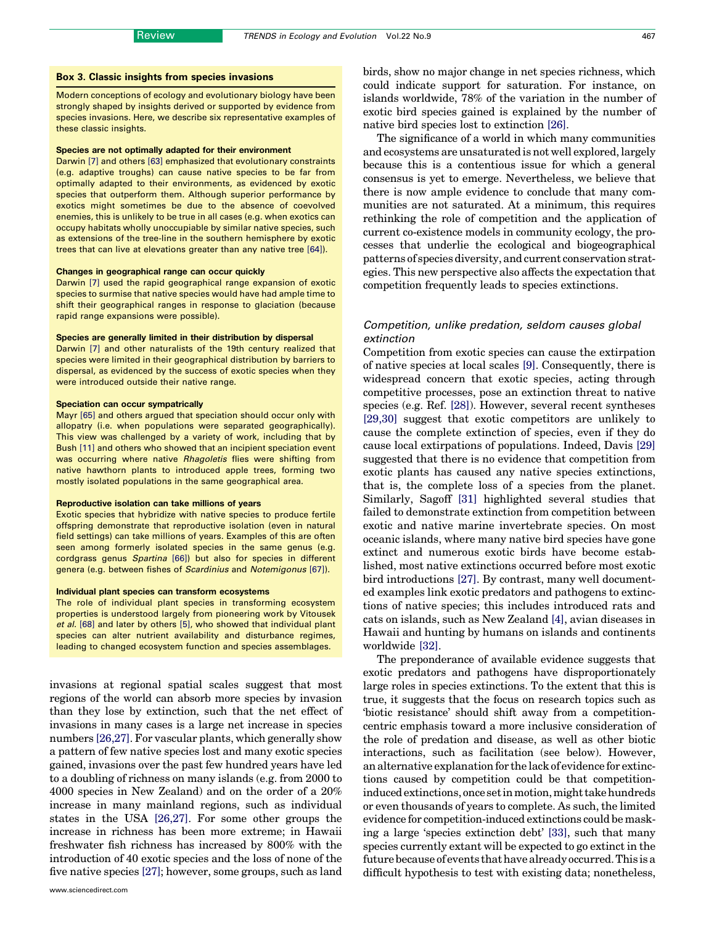### <span id="page-2-0"></span>Box 3. Classic insights from species invasions

Modern conceptions of ecology and evolutionary biology have been strongly shaped by insights derived or supported by evidence from species invasions. Here, we describe six representative examples of these classic insights.

### Species are not optimally adapted for their environment

Darwin [\[7\]](#page-5-0) and others [\[63\]](#page-6-0) emphasized that evolutionary constraints (e.g. adaptive troughs) can cause native species to be far from optimally adapted to their environments, as evidenced by exotic species that outperform them. Although superior performance by exotics might sometimes be due to the absence of coevolved enemies, this is unlikely to be true in all cases (e.g. when exotics can occupy habitats wholly unoccupiable by similar native species, such as extensions of the tree-line in the southern hemisphere by exotic trees that can live at elevations greater than any native tree [\[64\]\)](#page-6-0).

### Changes in geographical range can occur quickly

Darwin [\[7\]](#page-5-0) used the rapid geographical range expansion of exotic species to surmise that native species would have had ample time to shift their geographical ranges in response to glaciation (because rapid range expansions were possible).

#### Species are generally limited in their distribution by dispersal

Darwin [\[7\]](#page-5-0) and other naturalists of the 19th century realized that species were limited in their geographical distribution by barriers to dispersal, as evidenced by the success of exotic species when they were introduced outside their native range.

### Speciation can occur sympatrically

Mayr [\[65\]](#page-6-0) and others argued that speciation should occur only with allopatry (i.e. when populations were separated geographically). This view was challenged by a variety of work, including that by Bush [\[11\]](#page-5-0) and others who showed that an incipient speciation event was occurring where native Rhagoletis flies were shifting from native hawthorn plants to introduced apple trees, forming two mostly isolated populations in the same geographical area.

### Reproductive isolation can take millions of years

Exotic species that hybridize with native species to produce fertile offspring demonstrate that reproductive isolation (even in natural field settings) can take millions of years. Examples of this are often seen among formerly isolated species in the same genus (e.g. cordgrass genus Spartina [\[66\]\)](#page-6-0) but also for species in different genera (e.g. between fishes of Scardinius and Notemigonus [\[67\]\)](#page-6-0).

#### Individual plant species can transform ecosystems

The role of individual plant species in transforming ecosystem properties is understood largely from pioneering work by Vitousek et al. [\[68\]](#page-6-0) and later by others [\[5\]](#page-5-0), who showed that individual plant species can alter nutrient availability and disturbance regimes, leading to changed ecosystem function and species assemblages.

invasions at regional spatial scales suggest that most regions of the world can absorb more species by invasion than they lose by extinction, such that the net effect of invasions in many cases is a large net increase in species numbers [\[26,27\]](#page-6-0). For vascular plants, which generally show a pattern of few native species lost and many exotic species gained, invasions over the past few hundred years have led to a doubling of richness on many islands (e.g. from 2000 to 4000 species in New Zealand) and on the order of a 20% increase in many mainland regions, such as individual states in the USA [\[26,27\].](#page-6-0) For some other groups the increase in richness has been more extreme; in Hawaii freshwater fish richness has increased by 800% with the introduction of 40 exotic species and the loss of none of the five native species [\[27\];](#page-6-0) however, some groups, such as land

birds, show no major change in net species richness, which could indicate support for saturation. For instance, on islands worldwide, 78% of the variation in the number of exotic bird species gained is explained by the number of native bird species lost to extinction [\[26\].](#page-6-0)

The significance of a world in which many communities and ecosystems are unsaturated is not well explored, largely because this is a contentious issue for which a general consensus is yet to emerge. Nevertheless, we believe that there is now ample evidence to conclude that many communities are not saturated. At a minimum, this requires rethinking the role of competition and the application of current co-existence models in community ecology, the processes that underlie the ecological and biogeographical patterns of species diversity, and current conservation strategies. This new perspective also affects the expectation that competition frequently leads to species extinctions.

# Competition, unlike predation, seldom causes global extinction

Competition from exotic species can cause the extirpation of native species at local scales [\[9\].](#page-5-0) Consequently, there is widespread concern that exotic species, acting through competitive processes, pose an extinction threat to native species (e.g. Ref. [\[28\]\)](#page-6-0). However, several recent syntheses [\[29,30\]](#page-6-0) suggest that exotic competitors are unlikely to cause the complete extinction of species, even if they do cause local extirpations of populations. Indeed, Davis [\[29\]](#page-6-0) suggested that there is no evidence that competition from exotic plants has caused any native species extinctions, that is, the complete loss of a species from the planet. Similarly, Sagoff [\[31\]](#page-6-0) highlighted several studies that failed to demonstrate extinction from competition between exotic and native marine invertebrate species. On most oceanic islands, where many native bird species have gone extinct and numerous exotic birds have become established, most native extinctions occurred before most exotic bird introductions [\[27\].](#page-6-0) By contrast, many well documented examples link exotic predators and pathogens to extinctions of native species; this includes introduced rats and cats on islands, such as New Zealand [\[4\]](#page-5-0), avian diseases in Hawaii and hunting by humans on islands and continents worldwide [\[32\]](#page-6-0).

The preponderance of available evidence suggests that exotic predators and pathogens have disproportionately large roles in species extinctions. To the extent that this is true, it suggests that the focus on research topics such as 'biotic resistance' should shift away from a competitioncentric emphasis toward a more inclusive consideration of the role of predation and disease, as well as other biotic interactions, such as facilitation (see below). However, an alternative explanation for the lack of evidence for extinctions caused by competition could be that competitioninduced extinctions, once set in motion, might take hundreds or even thousands of years to complete. As such, the limited evidence for competition-induced extinctions could be masking a large 'species extinction debt' [\[33\],](#page-6-0) such that many species currently extant will be expected to go extinct in the future because of events that have already occurred. This is a difficult hypothesis to test with existing data; nonetheless,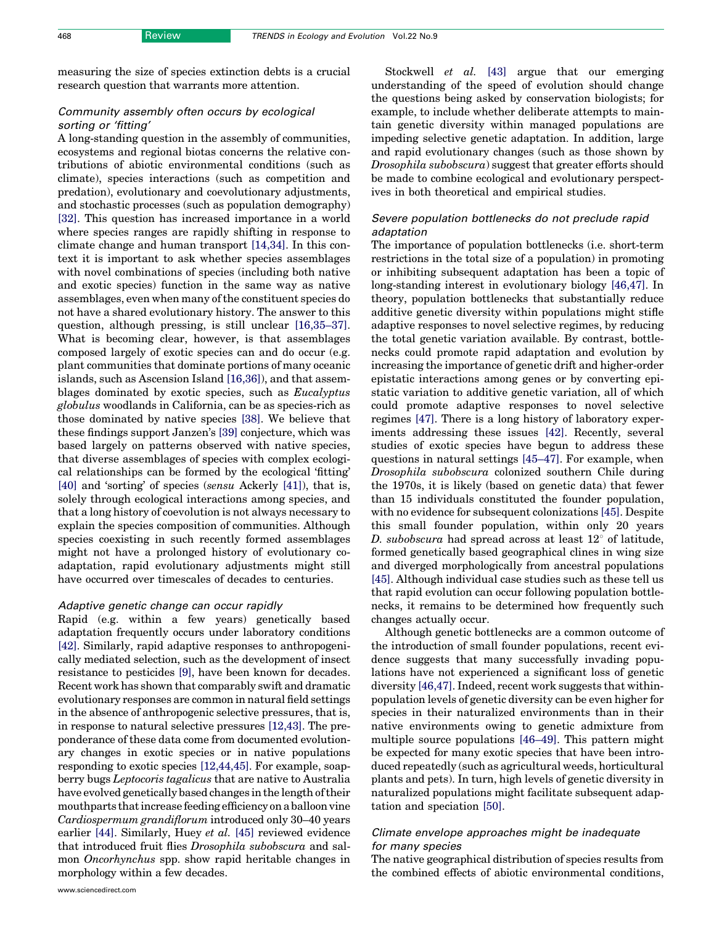measuring the size of species extinction debts is a crucial research question that warrants more attention.

# Community assembly often occurs by ecological sorting or 'fitting'

A long-standing question in the assembly of communities, ecosystems and regional biotas concerns the relative contributions of abiotic environmental conditions (such as climate), species interactions (such as competition and predation), evolutionary and coevolutionary adjustments, and stochastic processes (such as population demography) [\[32\]](#page-6-0). This question has increased importance in a world where species ranges are rapidly shifting in response to climate change and human transport [\[14,34\]](#page-5-0). In this context it is important to ask whether species assemblages with novel combinations of species (including both native and exotic species) function in the same way as native assemblages, even when many of the constituent species do not have a shared evolutionary history. The answer to this question, although pressing, is still unclear [\[16,35–37\]](#page-5-0). What is becoming clear, however, is that assemblages composed largely of exotic species can and do occur (e.g. plant communities that dominate portions of many oceanic islands, such as Ascension Island [\[16,36\]\)](#page-5-0), and that assemblages dominated by exotic species, such as Eucalyptus globulus woodlands in California, can be as species-rich as those dominated by native species [\[38\].](#page-6-0) We believe that these findings support Janzen's [\[39\]](#page-6-0) conjecture, which was based largely on patterns observed with native species, that diverse assemblages of species with complex ecological relationships can be formed by the ecological 'fitting' [\[40\]](#page-6-0) and 'sorting' of species (sensu Ackerly [\[41\]](#page-6-0)), that is, solely through ecological interactions among species, and that a long history of coevolution is not always necessary to explain the species composition of communities. Although species coexisting in such recently formed assemblages might not have a prolonged history of evolutionary coadaptation, rapid evolutionary adjustments might still have occurred over timescales of decades to centuries.

### Adaptive genetic change can occur rapidly

Rapid (e.g. within a few years) genetically based adaptation frequently occurs under laboratory conditions [\[42\].](#page-6-0) Similarly, rapid adaptive responses to anthropogenically mediated selection, such as the development of insect resistance to pesticides [\[9\]](#page-5-0), have been known for decades. Recent work has shown that comparably swift and dramatic evolutionary responses are common in natural field settings in the absence of anthropogenic selective pressures, that is, in response to natural selective pressures [\[12,43\]](#page-5-0). The preponderance of these data come from documented evolutionary changes in exotic species or in native populations responding to exotic species [\[12,44,45\].](#page-5-0) For example, soapberry bugs Leptocoris tagalicus that are native to Australia have evolved genetically based changes in the length of their mouthparts that increase feeding efficiency on a balloon vine Cardiospermum grandiflorum introduced only 30–40 years earlier [\[44\].](#page-6-0) Similarly, Huey et al. [\[45\]](#page-6-0) reviewed evidence that introduced fruit flies Drosophila subobscura and salmon Oncorhynchus spp. show rapid heritable changes in morphology within a few decades.

Stockwell et al. [\[43\]](#page-6-0) argue that our emerging understanding of the speed of evolution should change the questions being asked by conservation biologists; for example, to include whether deliberate attempts to maintain genetic diversity within managed populations are impeding selective genetic adaptation. In addition, large and rapid evolutionary changes (such as those shown by Drosophila subobscura) suggest that greater efforts should be made to combine ecological and evolutionary perspectives in both theoretical and empirical studies.

# Severe population bottlenecks do not preclude rapid adaptation

The importance of population bottlenecks (i.e. short-term restrictions in the total size of a population) in promoting or inhibiting subsequent adaptation has been a topic of long-standing interest in evolutionary biology [\[46,47\].](#page-6-0) In theory, population bottlenecks that substantially reduce additive genetic diversity within populations might stifle adaptive responses to novel selective regimes, by reducing the total genetic variation available. By contrast, bottlenecks could promote rapid adaptation and evolution by increasing the importance of genetic drift and higher-order epistatic interactions among genes or by converting epistatic variation to additive genetic variation, all of which could promote adaptive responses to novel selective regimes [\[47\].](#page-6-0) There is a long history of laboratory experiments addressing these issues [\[42\]](#page-6-0). Recently, several studies of exotic species have begun to address these questions in natural settings [\[45–47\]](#page-6-0). For example, when Drosophila subobscura colonized southern Chile during the 1970s, it is likely (based on genetic data) that fewer than 15 individuals constituted the founder population, with no evidence for subsequent colonizations [\[45\]](#page-6-0). Despite this small founder population, within only 20 years D. subobscura had spread across at least  $12^{\circ}$  of latitude, formed genetically based geographical clines in wing size and diverged morphologically from ancestral populations [\[45\]](#page-6-0). Although individual case studies such as these tell us that rapid evolution can occur following population bottlenecks, it remains to be determined how frequently such changes actually occur.

Although genetic bottlenecks are a common outcome of the introduction of small founder populations, recent evidence suggests that many successfully invading populations have not experienced a significant loss of genetic diversity [\[46,47\]](#page-6-0). Indeed, recent work suggests that withinpopulation levels of genetic diversity can be even higher for species in their naturalized environments than in their native environments owing to genetic admixture from multiple source populations [\[46–49\].](#page-6-0) This pattern might be expected for many exotic species that have been introduced repeatedly (such as agricultural weeds, horticultural plants and pets). In turn, high levels of genetic diversity in naturalized populations might facilitate subsequent adaptation and speciation [\[50\].](#page-6-0)

# Climate envelope approaches might be inadequate for many species

The native geographical distribution of species results from the combined effects of abiotic environmental conditions,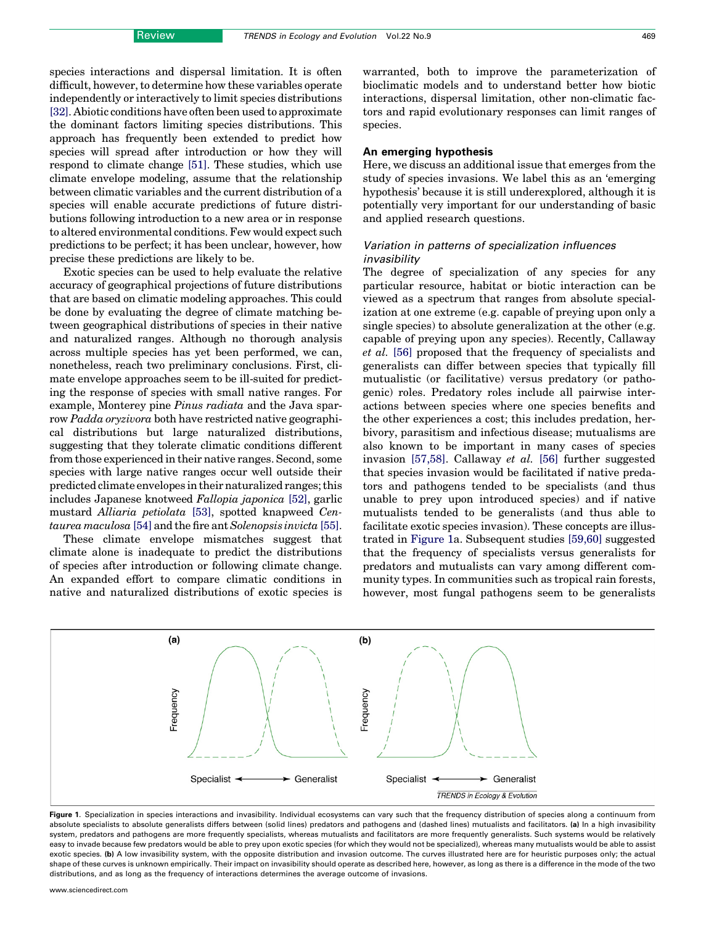<span id="page-4-0"></span>species interactions and dispersal limitation. It is often difficult, however, to determine how these variables operate independently or interactively to limit species distributions [\[32\].](#page-6-0) Abiotic conditions have often been used to approximate the dominant factors limiting species distributions. This approach has frequently been extended to predict how species will spread after introduction or how they will respond to climate change [\[51\].](#page-6-0) These studies, which use climate envelope modeling, assume that the relationship between climatic variables and the current distribution of a species will enable accurate predictions of future distributions following introduction to a new area or in response to altered environmental conditions. Few would expect such predictions to be perfect; it has been unclear, however, how precise these predictions are likely to be.

Exotic species can be used to help evaluate the relative accuracy of geographical projections of future distributions that are based on climatic modeling approaches. This could be done by evaluating the degree of climate matching between geographical distributions of species in their native and naturalized ranges. Although no thorough analysis across multiple species has yet been performed, we can, nonetheless, reach two preliminary conclusions. First, climate envelope approaches seem to be ill-suited for predicting the response of species with small native ranges. For example, Monterey pine Pinus radiata and the Java sparrow Padda oryzivora both have restricted native geographical distributions but large naturalized distributions, suggesting that they tolerate climatic conditions different from those experienced in their native ranges. Second, some species with large native ranges occur well outside their predicted climate envelopes in their naturalized ranges; this includes Japanese knotweed Fallopia japonica [\[52\],](#page-6-0) garlic mustard Alliaria petiolata [\[53\]](#page-6-0), spotted knapweed Cen-taurea maculosa [\[54\]](#page-6-0) and the fire ant Solenopsis invicta [\[55\]](#page-6-0).

These climate envelope mismatches suggest that climate alone is inadequate to predict the distributions of species after introduction or following climate change. An expanded effort to compare climatic conditions in native and naturalized distributions of exotic species is warranted, both to improve the parameterization of bioclimatic models and to understand better how biotic interactions, dispersal limitation, other non-climatic factors and rapid evolutionary responses can limit ranges of species.

## An emerging hypothesis

Here, we discuss an additional issue that emerges from the study of species invasions. We label this as an 'emerging hypothesis' because it is still underexplored, although it is potentially very important for our understanding of basic and applied research questions.

# Variation in patterns of specialization influences invasibility

The degree of specialization of any species for any particular resource, habitat or biotic interaction can be viewed as a spectrum that ranges from absolute specialization at one extreme (e.g. capable of preying upon only a single species) to absolute generalization at the other (e.g. capable of preying upon any species). Recently, Callaway et al. [\[56\]](#page-6-0) proposed that the frequency of specialists and generalists can differ between species that typically fill mutualistic (or facilitative) versus predatory (or pathogenic) roles. Predatory roles include all pairwise interactions between species where one species benefits and the other experiences a cost; this includes predation, herbivory, parasitism and infectious disease; mutualisms are also known to be important in many cases of species invasion [\[57,58\]](#page-6-0). Callaway et al. [\[56\]](#page-6-0) further suggested that species invasion would be facilitated if native predators and pathogens tended to be specialists (and thus unable to prey upon introduced species) and if native mutualists tended to be generalists (and thus able to facilitate exotic species invasion). These concepts are illustrated in Figure 1a. Subsequent studies [\[59,60\]](#page-6-0) suggested that the frequency of specialists versus generalists for predators and mutualists can vary among different community types. In communities such as tropical rain forests, however, most fungal pathogens seem to be generalists



Figure 1. Specialization in species interactions and invasibility. Individual ecosystems can vary such that the frequency distribution of species along a continuum from absolute specialists to absolute generalists differs between (solid lines) predators and pathogens and (dashed lines) mutualists and facilitators. (a) In a high invasibility system, predators and pathogens are more frequently specialists, whereas mutualists and facilitators are more frequently generalists. Such systems would be relatively easy to invade because few predators would be able to prey upon exotic species (for which they would not be specialized), whereas many mutualists would be able to assist exotic species. (b) A low invasibility system, with the opposite distribution and invasion outcome. The curves illustrated here are for heuristic purposes only; the actual shape of these curves is unknown empirically. Their impact on invasibility should operate as described here, however, as long as there is a difference in the mode of the two distributions, and as long as the frequency of interactions determines the average outcome of invasions.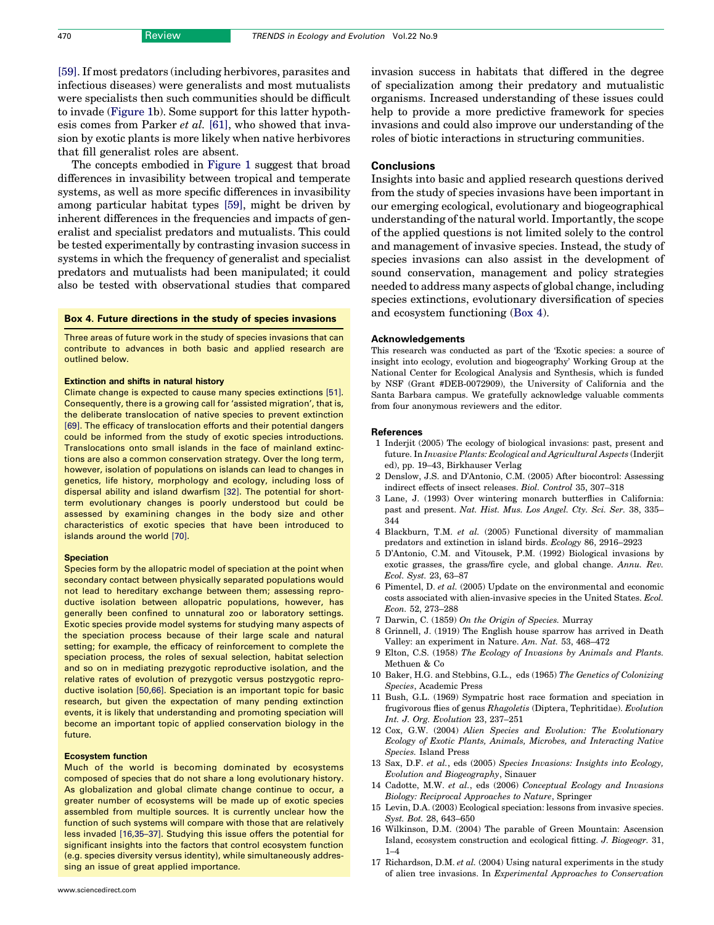<span id="page-5-0"></span>[\[59\]](#page-6-0). If most predators (including herbivores, parasites and infectious diseases) were generalists and most mutualists were specialists then such communities should be difficult to invade [\(Figure 1b](#page-4-0)). Some support for this latter hypothesis comes from Parker et al. [\[61\],](#page-6-0) who showed that invasion by exotic plants is more likely when native herbivores that fill generalist roles are absent.

The concepts embodied in [Figure 1](#page-4-0) suggest that broad differences in invasibility between tropical and temperate systems, as well as more specific differences in invasibility among particular habitat types [\[59\]](#page-6-0), might be driven by inherent differences in the frequencies and impacts of generalist and specialist predators and mutualists. This could be tested experimentally by contrasting invasion success in systems in which the frequency of generalist and specialist predators and mutualists had been manipulated; it could also be tested with observational studies that compared

### Box 4. Future directions in the study of species invasions

Three areas of future work in the study of species invasions that can contribute to advances in both basic and applied research are outlined below.

### Extinction and shifts in natural history

Climate change is expected to cause many species extinctions [\[51\].](#page-6-0) Consequently, there is a growing call for 'assisted migration', that is, the deliberate translocation of native species to prevent extinction [\[69\].](#page-6-0) The efficacy of translocation efforts and their potential dangers could be informed from the study of exotic species introductions. Translocations onto small islands in the face of mainland extinctions are also a common conservation strategy. Over the long term, however, isolation of populations on islands can lead to changes in genetics, life history, morphology and ecology, including loss of dispersal ability and island dwarfism [\[32\]](#page-6-0). The potential for shortterm evolutionary changes is poorly understood but could be assessed by examining changes in the body size and other characteristics of exotic species that have been introduced to islands around the world [\[70\]](#page-6-0).

#### **Speciation**

Species form by the allopatric model of speciation at the point when secondary contact between physically separated populations would not lead to hereditary exchange between them; assessing reproductive isolation between allopatric populations, however, has generally been confined to unnatural zoo or laboratory settings. Exotic species provide model systems for studying many aspects of the speciation process because of their large scale and natural setting; for example, the efficacy of reinforcement to complete the speciation process, the roles of sexual selection, habitat selection and so on in mediating prezygotic reproductive isolation, and the relative rates of evolution of prezygotic versus postzygotic reproductive isolation [\[50,66\].](#page-6-0) Speciation is an important topic for basic research, but given the expectation of many pending extinction events, it is likely that understanding and promoting speciation will become an important topic of applied conservation biology in the future.

#### Ecosystem function

Much of the world is becoming dominated by ecosystems composed of species that do not share a long evolutionary history. As globalization and global climate change continue to occur, a greater number of ecosystems will be made up of exotic species assembled from multiple sources. It is currently unclear how the function of such systems will compare with those that are relatively less invaded [16,35–37]. Studying this issue offers the potential for significant insights into the factors that control ecosystem function (e.g. species diversity versus identity), while simultaneously addressing an issue of great applied importance.

invasion success in habitats that differed in the degree of specialization among their predatory and mutualistic organisms. Increased understanding of these issues could help to provide a more predictive framework for species invasions and could also improve our understanding of the roles of biotic interactions in structuring communities.

## **Conclusions**

Insights into basic and applied research questions derived from the study of species invasions have been important in our emerging ecological, evolutionary and biogeographical understanding of the natural world. Importantly, the scope of the applied questions is not limited solely to the control and management of invasive species. Instead, the study of species invasions can also assist in the development of sound conservation, management and policy strategies needed to address many aspects of global change, including species extinctions, evolutionary diversification of species and ecosystem functioning (Box 4).

### Acknowledgements

This research was conducted as part of the 'Exotic species: a source of insight into ecology, evolution and biogeography' Working Group at the National Center for Ecological Analysis and Synthesis, which is funded by NSF (Grant #DEB-0072909), the University of California and the Santa Barbara campus. We gratefully acknowledge valuable comments from four anonymous reviewers and the editor.

### References

- 1 Inderjit (2005) The ecology of biological invasions: past, present and future. In Invasive Plants: Ecological and Agricultural Aspects (Inderjit ed), pp. 19–43, Birkhauser Verlag
- 2 Denslow, J.S. and D'Antonio, C.M. (2005) After biocontrol: Assessing indirect effects of insect releases. Biol. Control 35, 307–318
- 3 Lane, J. (1993) Over wintering monarch butterflies in California: past and present. Nat. Hist. Mus. Los Angel. Cty. Sci. Ser. 38, 335– 344
- 4 Blackburn, T.M. et al. (2005) Functional diversity of mammalian predators and extinction in island birds. Ecology 86, 2916–2923
- 5 D'Antonio, C.M. and Vitousek, P.M. (1992) Biological invasions by exotic grasses, the grass/fire cycle, and global change. Annu. Rev. Ecol. Syst. 23, 63–87
- 6 Pimentel, D. et al. (2005) Update on the environmental and economic costs associated with alien-invasive species in the United States. Ecol. Econ. 52, 273–288
- 7 Darwin, C. (1859) On the Origin of Species. Murray
- 8 Grinnell, J. (1919) The English house sparrow has arrived in Death Valley: an experiment in Nature. Am. Nat. 53, 468–472
- 9 Elton, C.S. (1958) The Ecology of Invasions by Animals and Plants. Methuen & Co
- 10 Baker, H.G. and Stebbins, G.L., eds (1965) The Genetics of Colonizing Species, Academic Press
- 11 Bush, G.L. (1969) Sympatric host race formation and speciation in frugivorous flies of genus Rhagoletis (Diptera, Tephritidae). Evolution Int. J. Org. Evolution 23, 237–251
- 12 Cox, G.W. (2004) Alien Species and Evolution: The Evolutionary Ecology of Exotic Plants, Animals, Microbes, and Interacting Native Species. Island Press
- 13 Sax, D.F. et al., eds (2005) Species Invasions: Insights into Ecology, Evolution and Biogeography, Sinauer
- 14 Cadotte, M.W. et al., eds (2006) Conceptual Ecology and Invasions Biology: Reciprocal Approaches to Nature, Springer
- 15 Levin, D.A. (2003) Ecological speciation: lessons from invasive species. Syst. Bot. 28, 643–650
- 16 Wilkinson, D.M. (2004) The parable of Green Mountain: Ascension Island, ecosystem construction and ecological fitting. J. Biogeogr. 31,  $1 - 4$
- 17 Richardson, D.M. et al. (2004) Using natural experiments in the study of alien tree invasions. In Experimental Approaches to Conservation